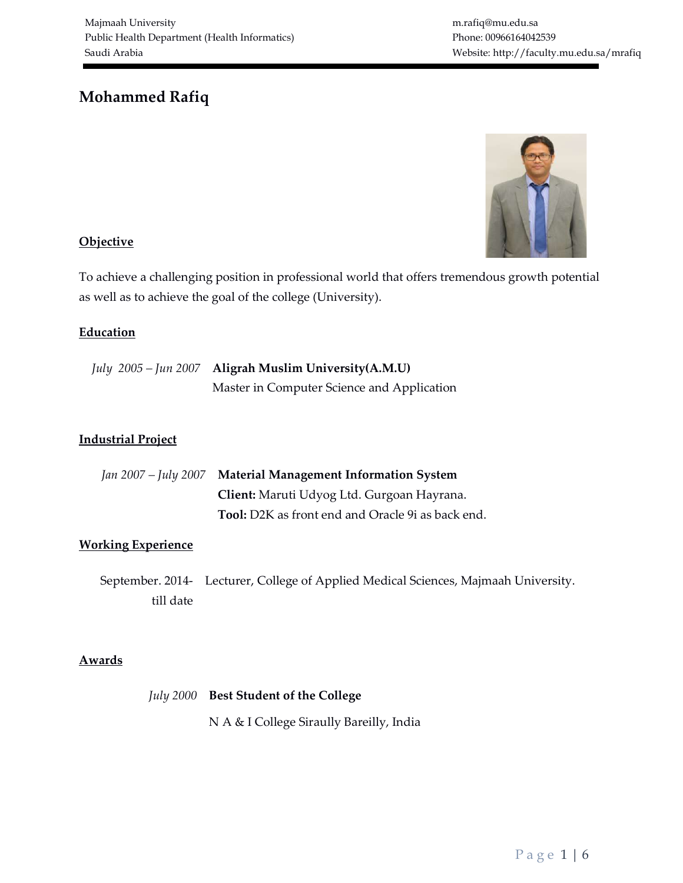m.rafiq@mu.edu.sa Phone: 00966164042539 Website: http://faculty.mu.edu.sa/mrafiq

# Mohammed Rafiq



# **Objective**

To achieve a challenging position in professional world that offers tremendous growth potential as well as to achieve the goal of the college (University).

# **Education**

| July 2005 – Jun 2007 Aligrah Muslim University (A.M.U) |
|--------------------------------------------------------|
| Master in Computer Science and Application             |

# Industrial Project

| Jan 2007 - July 2007 Material Management Information System |
|-------------------------------------------------------------|
| <b>Client:</b> Maruti Udyog Ltd. Gurgoan Hayrana.           |
| <b>Tool:</b> D2K as front end and Oracle 9i as back end.    |

# Working Experience

September. 2014- Lecturer, College of Applied Medical Sciences, Majmaah University. till date

# **Awards**

| July 2000 Best Student of the College    |
|------------------------------------------|
| N A & I College Siraully Bareilly, India |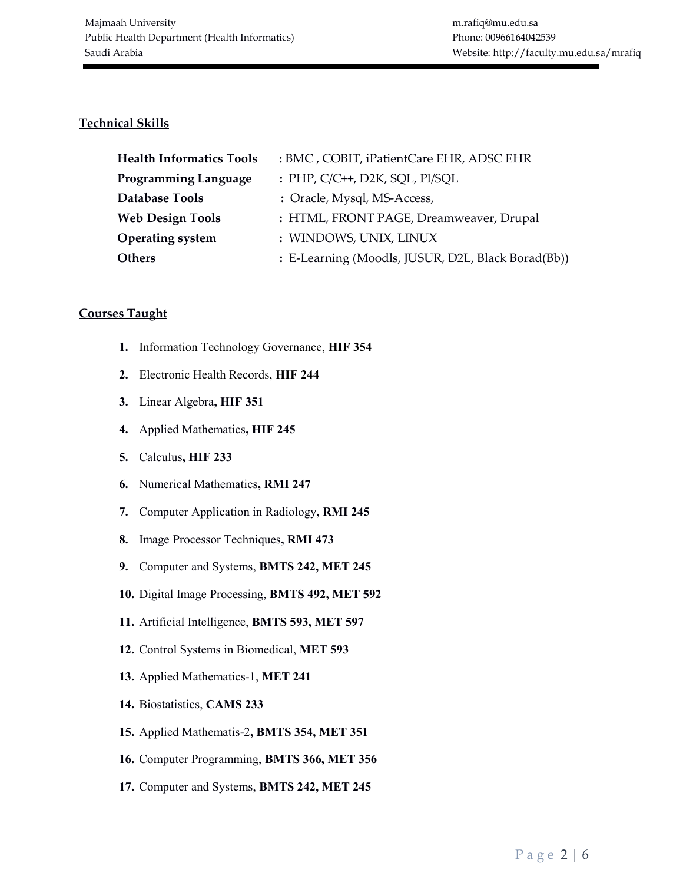## Technical Skills

| <b>Health Informatics Tools</b> | : BMC, COBIT, iPatientCare EHR, ADSC EHR           |
|---------------------------------|----------------------------------------------------|
| <b>Programming Language</b>     | : PHP, C/C++, D2K, SQL, Pl/SQL                     |
| <b>Database Tools</b>           | : Oracle, Mysql, MS-Access,                        |
| <b>Web Design Tools</b>         | : HTML, FRONT PAGE, Dreamweaver, Drupal            |
| <b>Operating system</b>         | : WINDOWS, UNIX, LINUX                             |
| <b>Others</b>                   | : E-Learning (Moodls, JUSUR, D2L, Black Borad(Bb)) |

#### Courses Taught

- 1. Information Technology Governance, HIF 354
- 2. Electronic Health Records, HIF 244
- 3. Linear Algebra, HIF 351
- 4. Applied Mathematics, HIF 245
- 5. Calculus, HIF 233
- 6. Numerical Mathematics, RMI 247
- 7. Computer Application in Radiology, RMI 245
- 8. Image Processor Techniques, RMI 473
- 9. Computer and Systems, BMTS 242, MET 245
- 10. Digital Image Processing, BMTS 492, MET 592
- 11. Artificial Intelligence, BMTS 593, MET 597
- 12. Control Systems in Biomedical, MET 593
- 13. Applied Mathematics-1, MET 241
- 14. Biostatistics, CAMS 233
- 15. Applied Mathematis-2, BMTS 354, MET 351
- 16. Computer Programming, BMTS 366, MET 356
- 17. Computer and Systems, BMTS 242, MET 245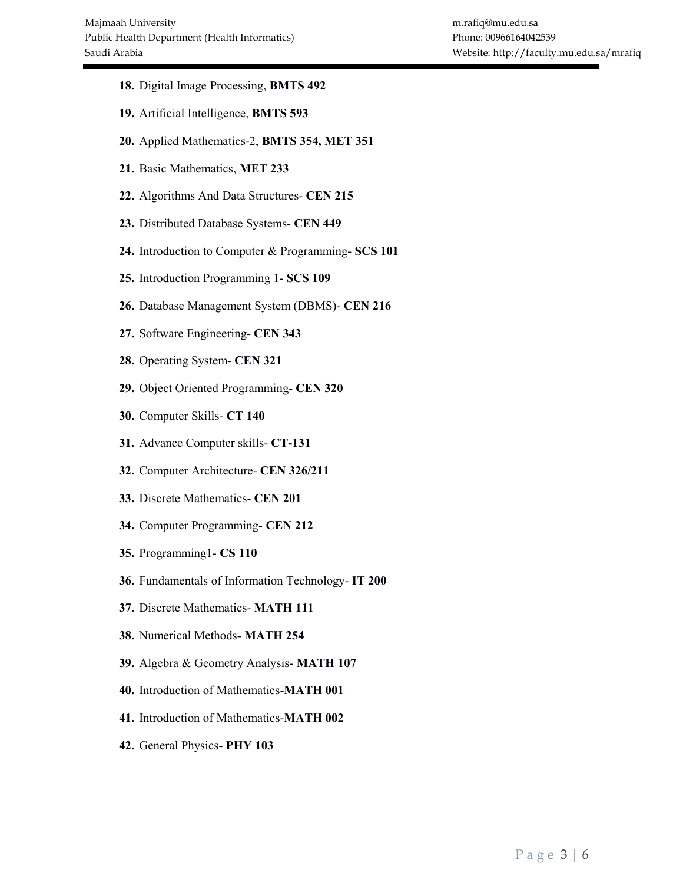- 18. Digital Image Processing, BMTS 492
- 19. Artificial Intelligence, BMTS 593
- 20. Applied Mathematics-2, BMTS 354, MET 351
- 21. Basic Mathematics, MET 233
- 22. Algorithms And Data Structures- CEN 215
- 23. Distributed Database Systems- CEN 449
- 24. Introduction to Computer & Programming- SCS 101
- 25. Introduction Programming 1- SCS 109
- 26. Database Management System (DBMS)- CEN 216
- 27. Software Engineering- CEN 343
- 28. Operating System- CEN 321
- 29. Object Oriented Programming- CEN 320
- 30. Computer Skills- CT 140
- 31. Advance Computer skills- CT-131
- 32. Computer Architecture- CEN 326/211
- 33. Discrete Mathematics- CEN 201
- 34. Computer Programming- CEN 212
- 35. Programming1- CS 110
- 36. Fundamentals of Information Technology- IT 200
- 37. Discrete Mathematics- MATH 111
- 38. Numerical Methods- MATH 254
- 39. Algebra & Geometry Analysis- MATH 107
- 40. Introduction of Mathematics-MATH 001
- 41. Introduction of Mathematics-MATH 002
- 42. General Physics- PHY 103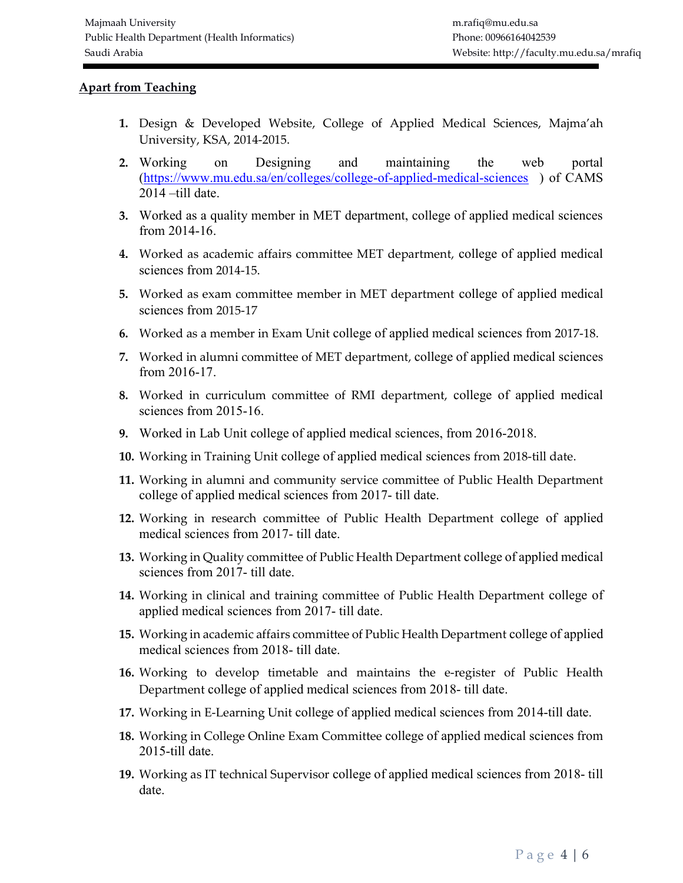#### Apart from Teaching

- 1. Design & Developed Website, College of Applied Medical Sciences, Majma'ah University, KSA, 2014-2015.
- 2. Working on Designing and maintaining the web portal (https://www.mu.edu.sa/en/colleges/college-of-applied-medical-sciences ) of CAMS 2014 –till date.
- 3. Worked as a quality member in MET department, college of applied medical sciences from 2014-16.
- 4. Worked as academic affairs committee MET department, college of applied medical sciences from 2014-15.
- 5. Worked as exam committee member in MET department college of applied medical sciences from 2015-17
- 6. Worked as a member in Exam Unit college of applied medical sciences from 2017-18.
- 7. Worked in alumni committee of MET department, college of applied medical sciences from 2016-17.
- 8. Worked in curriculum committee of RMI department, college of applied medical sciences from 2015-16.
- 9. Worked in Lab Unit college of applied medical sciences, from 2016-2018.
- 10. Working in Training Unit college of applied medical sciences from 2018-till date.
- 11. Working in alumni and community service committee of Public Health Department college of applied medical sciences from 2017- till date.
- 12. Working in research committee of Public Health Department college of applied medical sciences from 2017- till date.
- 13. Working in Quality committee of Public Health Department college of applied medical sciences from 2017- till date.
- 14. Working in clinical and training committee of Public Health Department college of applied medical sciences from 2017- till date.
- 15. Working in academic affairs committee of Public Health Department college of applied medical sciences from 2018- till date.
- 16. Working to develop timetable and maintains the e-register of Public Health Department college of applied medical sciences from 2018- till date.
- 17. Working in E-Learning Unit college of applied medical sciences from 2014-till date.
- 18. Working in College Online Exam Committee college of applied medical sciences from 2015-till date.
- 19. Working as IT technical Supervisor college of applied medical sciences from 2018- till date.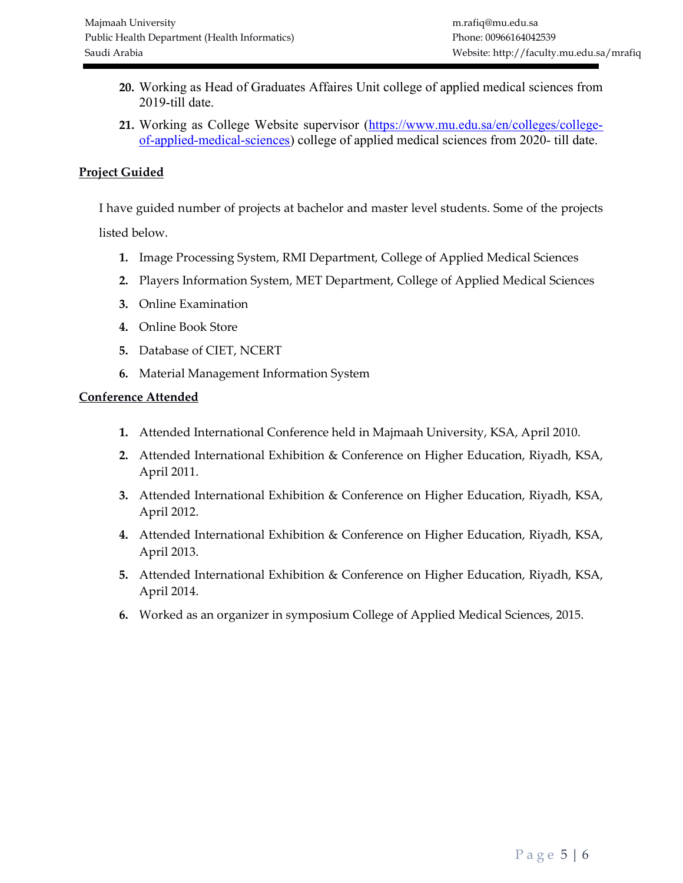- 20. Working as Head of Graduates Affaires Unit college of applied medical sciences from 2019-till date.
- 21. Working as College Website supervisor (https://www.mu.edu.sa/en/colleges/collegeof-applied-medical-sciences) college of applied medical sciences from 2020- till date.

# Project Guided

I have guided number of projects at bachelor and master level students. Some of the projects

listed below.

- 1. Image Processing System, RMI Department, College of Applied Medical Sciences
- 2. Players Information System, MET Department, College of Applied Medical Sciences
- 3. Online Examination
- 4. Online Book Store
- 5. Database of CIET, NCERT
- 6. Material Management Information System

# Conference Attended

- 1. Attended International Conference held in Majmaah University, KSA, April 2010.
- 2. Attended International Exhibition & Conference on Higher Education, Riyadh, KSA, April 2011.
- 3. Attended International Exhibition & Conference on Higher Education, Riyadh, KSA, April 2012.
- 4. Attended International Exhibition & Conference on Higher Education, Riyadh, KSA, April 2013.
- 5. Attended International Exhibition & Conference on Higher Education, Riyadh, KSA, April 2014.
- 6. Worked as an organizer in symposium College of Applied Medical Sciences, 2015.